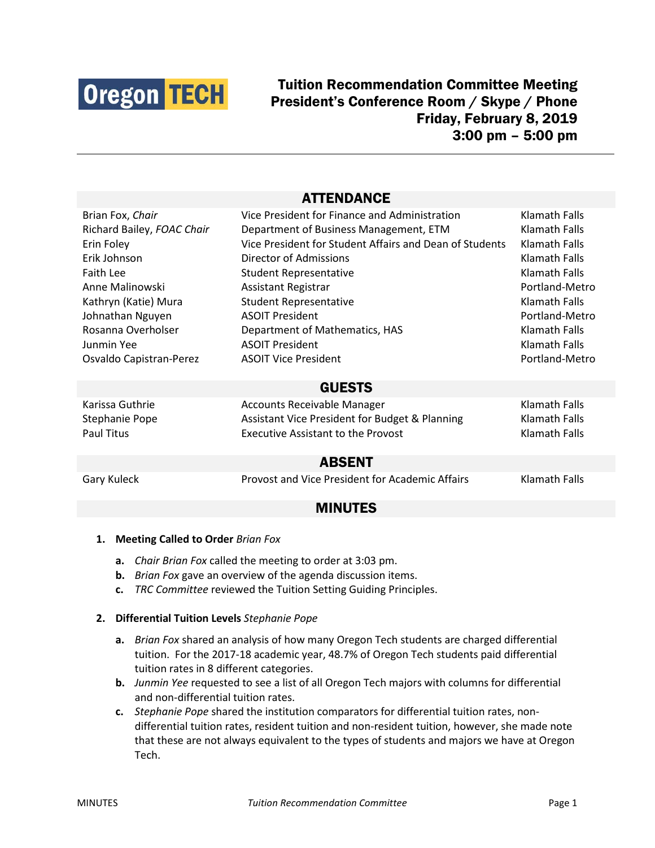

# Tuition Recommendation Committee Meeting President's Conference Room / Skype / Phone Friday, February 8, 2019 3:00 pm – 5:00 pm

## ATTENDANCE

| Brian Fox, Chair           | Vice President for Finance and Administration           | Klamath Falls        |
|----------------------------|---------------------------------------------------------|----------------------|
| Richard Bailey, FOAC Chair | Department of Business Management, ETM                  | Klamath Falls        |
| Erin Foley                 | Vice President for Student Affairs and Dean of Students | Klamath Falls        |
| Erik Johnson               | Director of Admissions                                  | Klamath Falls        |
| Faith Lee                  | <b>Student Representative</b>                           | Klamath Falls        |
| Anne Malinowski            | <b>Assistant Registrar</b>                              | Portland-Metro       |
| Kathryn (Katie) Mura       | <b>Student Representative</b>                           | Klamath Falls        |
| Johnathan Nguyen           | <b>ASOIT President</b>                                  | Portland-Metro       |
| Rosanna Overholser         | Department of Mathematics, HAS                          | Klamath Falls        |
| Junmin Yee                 | <b>ASOIT President</b>                                  | Klamath Falls        |
| Osvaldo Capistran-Perez    | <b>ASOIT Vice President</b>                             | Portland-Metro       |
| <b>GUESTS</b>              |                                                         |                      |
| Karissa Guthrie            | <b>Accounts Receivable Manager</b>                      | <b>Klamath Falls</b> |
| Stephanie Pope             | Assistant Vice President for Budget & Planning          | Klamath Falls        |
| Paul Titus                 | <b>Executive Assistant to the Provost</b>               | Klamath Falls        |
| <b>ABSENT</b>              |                                                         |                      |
| Gary Kuleck                | Provost and Vice President for Academic Affairs         | <b>Klamath Falls</b> |

## MINUTES

#### **1. Meeting Called to Order** *Brian Fox*

- **a.** *Chair Brian Fox* called the meeting to order at 3:03 pm.
- **b.** *Brian Fox* gave an overview of the agenda discussion items.
- **c.** *TRC Committee* reviewed the Tuition Setting Guiding Principles.

#### **2. Differential Tuition Levels** *Stephanie Pope*

- **a.** *Brian Fox* shared an analysis of how many Oregon Tech students are charged differential tuition. For the 2017-18 academic year, 48.7% of Oregon Tech students paid differential tuition rates in 8 different categories.
- **b.** *Junmin Yee* requested to see a list of all Oregon Tech majors with columns for differential and non-differential tuition rates.
- **c.** *Stephanie Pope* shared the institution comparators for differential tuition rates, nondifferential tuition rates, resident tuition and non-resident tuition, however, she made note that these are not always equivalent to the types of students and majors we have at Oregon Tech.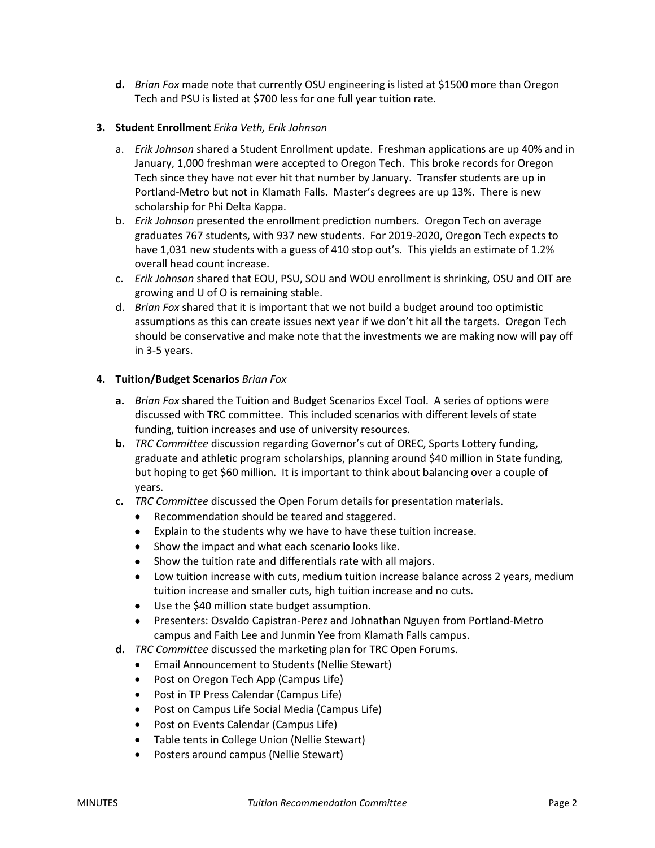**d.** *Brian Fox* made note that currently OSU engineering is listed at \$1500 more than Oregon Tech and PSU is listed at \$700 less for one full year tuition rate.

### **3. Student Enrollment** *Erika Veth, Erik Johnson*

- a. *Erik Johnson* shared a Student Enrollment update. Freshman applications are up 40% and in January, 1,000 freshman were accepted to Oregon Tech. This broke records for Oregon Tech since they have not ever hit that number by January. Transfer students are up in Portland-Metro but not in Klamath Falls. Master's degrees are up 13%. There is new scholarship for Phi Delta Kappa.
- b. *Erik Johnson* presented the enrollment prediction numbers. Oregon Tech on average graduates 767 students, with 937 new students. For 2019-2020, Oregon Tech expects to have 1,031 new students with a guess of 410 stop out's. This yields an estimate of 1.2% overall head count increase.
- c. *Erik Johnson* shared that EOU, PSU, SOU and WOU enrollment is shrinking, OSU and OIT are growing and U of O is remaining stable.
- d. *Brian Fox* shared that it is important that we not build a budget around too optimistic assumptions as this can create issues next year if we don't hit all the targets. Oregon Tech should be conservative and make note that the investments we are making now will pay off in 3-5 years.

### **4. Tuition/Budget Scenarios** *Brian Fox*

- **a.** *Brian Fox* shared the Tuition and Budget Scenarios Excel Tool. A series of options were discussed with TRC committee. This included scenarios with different levels of state funding, tuition increases and use of university resources.
- **b.** *TRC Committee* discussion regarding Governor's cut of OREC, Sports Lottery funding, graduate and athletic program scholarships, planning around \$40 million in State funding, but hoping to get \$60 million. It is important to think about balancing over a couple of years.
- **c.** *TRC Committee* discussed the Open Forum details for presentation materials.
	- Recommendation should be teared and staggered.
	- Explain to the students why we have to have these tuition increase.
	- Show the impact and what each scenario looks like.
	- Show the tuition rate and differentials rate with all majors.
	- Low tuition increase with cuts, medium tuition increase balance across 2 years, medium tuition increase and smaller cuts, high tuition increase and no cuts.
	- Use the \$40 million state budget assumption.
	- Presenters: Osvaldo Capistran-Perez and Johnathan Nguyen from Portland-Metro campus and Faith Lee and Junmin Yee from Klamath Falls campus.
- **d.** *TRC Committee* discussed the marketing plan for TRC Open Forums.
	- Email Announcement to Students (Nellie Stewart)
	- Post on Oregon Tech App (Campus Life)
	- Post in TP Press Calendar (Campus Life)
	- Post on Campus Life Social Media (Campus Life)
	- Post on Events Calendar (Campus Life)
	- Table tents in College Union (Nellie Stewart)
	- Posters around campus (Nellie Stewart)